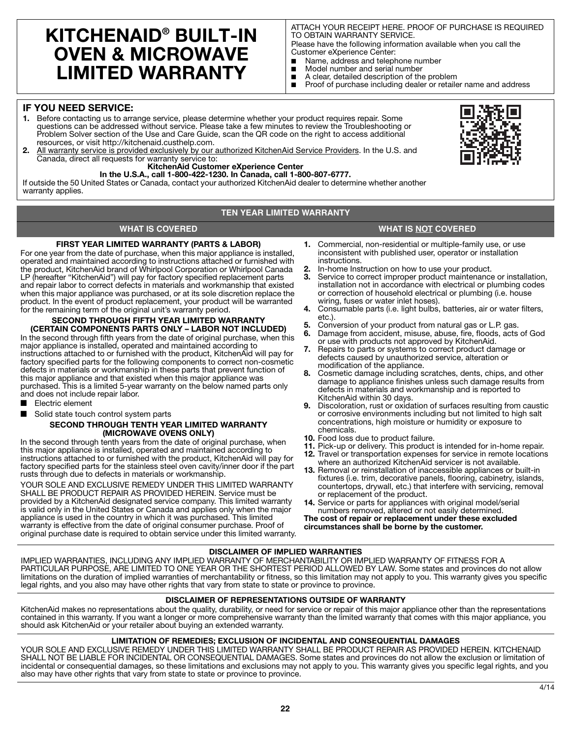# **KITCHENAID® BUILT-IN OVEN & MICROWAVE LIMITED WARRANTY**

ATTACH YOUR RECEIPT HERE. PROOF OF PURCHASE IS REQUIRED TO OBTAIN WARRANTY SERVICE.

Please have the following information available when you call the Customer eXperience Center:

- Name, address and telephone number<br>■ Model number and serial number
- Model number and serial number<br>■ A clear, detailed description of the
- A clear, detailed description of the problem<br>■ Proof of purchase including dealer or retaile
- Proof of purchase including dealer or retailer name and address

# **IF YOU NEED SERVICE:**

- **1.** Before contacting us to arrange service, please determine whether your product requires repair. Some questions can be addressed without service. Please take a few minutes to review the Troubleshooting or Problem Solver section of the Use and Care Guide, scan the QR code on the right to access additional resources, or visit http://kitchenaid.custhelp.com.
- **2.** All warranty service is provided exclusively by our authorized KitchenAid Service Providers. In the U.S. and Canada, direct all requests for warranty service to:
	- **KitchenAid Customer eXperience Center**

**In the U.S.A., call 1-800-422-1230. In Canada, call 1-800-807-6777.** If outside the 50 United States or Canada, contact your authorized KitchenAid dealer to determine whether another warranty applies.

# **TEN YEAR LIMITED WARRANTY**

**WHAT IS COVERED WHAT IS NOT COVERED**

# **FIRST YEAR LIMITED WARRANTY (PARTS & LABOR)**

For one year from the date of purchase, when this major appliance is installed, operated and maintained according to instructions attached or furnished with the product, KitchenAid brand of Whirlpool Corporation or Whirlpool Canada LP (hereafter "KitchenAid") will pay for factory specified replacement parts and repair labor to correct defects in materials and workmanship that existed when this major appliance was purchased, or at its sole discretion replace the product. In the event of product replacement, your product will be warranted for the remaining term of the original unit's warranty period.

#### **SECOND THROUGH FIFTH YEAR LIMITED WARRANTY (CERTAIN COMPONENTS PARTS ONLY – LABOR NOT INCLUDED)**

In the second through fifth years from the date of original purchase, when this major appliance is installed, operated and maintained according to instructions attached to or furnished with the product, KitchenAid will pay for factory specified parts for the following components to correct non-cosmetic defects in materials or workmanship in these parts that prevent function of this major appliance and that existed when this major appliance was purchased. This is a limited 5-year warranty on the below named parts only and does not include repair labor.

- Electric element
- Solid state touch control system parts

### **SECOND THROUGH TENTH YEAR LIMITED WARRANTY (MICROWAVE OVENS ONLY)**

In the second through tenth years from the date of original purchase, when this major appliance is installed, operated and maintained according to instructions attached to or furnished with the product, KitchenAid will pay for factory specified parts for the stainless steel oven cavity/inner door if the part rusts through due to defects in materials or workmanship.

YOUR SOLE AND EXCLUSIVE REMEDY UNDER THIS LIMITED WARRANTY SHALL BE PRODUCT REPAIR AS PROVIDED HEREIN. Service must be provided by a KitchenAid designated service company. This limited warranty is valid only in the United States or Canada and applies only when the major appliance is used in the country in which it was purchased. This limited warranty is effective from the date of original consumer purchase. Proof of original purchase date is required to obtain service under this limited warranty.

- **1.** Commercial, non-residential or multiple-family use, or use inconsistent with published user, operator or installation instructions.
- **2.** In-home Instruction on how to use your product.
- **3.** Service to correct improper product maintenance or installation, installation not in accordance with electrical or plumbing codes or correction of household electrical or plumbing (i.e. house wiring, fuses or water inlet hoses).
- **4.** Consumable parts (i.e. light bulbs, batteries, air or water filters, etc.).
- **5.** Conversion of your product from natural gas or L.P. gas.
- **6.** Damage from accident, misuse, abuse, fire, floods, acts of God or use with products not approved by KitchenAid.
- **7.** Repairs to parts or systems to correct product damage or defects caused by unauthorized service, alteration or modification of the appliance.
- **8.** Cosmetic damage including scratches, dents, chips, and other damage to appliance finishes unless such damage results from defects in materials and workmanship and is reported to KitchenAid within 30 days.
- **9.** Discoloration, rust or oxidation of surfaces resulting from caustic or corrosive environments including but not limited to high salt concentrations, high moisture or humidity or exposure to chemicals.
- **10.** Food loss due to product failure.
- **11.** Pick-up or delivery. This product is intended for in-home repair.
- **12.** Travel or transportation expenses for service in remote locations where an authorized KitchenAid servicer is not available.
- **13.** Removal or reinstallation of inaccessible appliances or built-in fixtures (i.e. trim, decorative panels, flooring, cabinetry, islands, countertops, drywall, etc.) that interfere with servicing, removal or replacement of the product.
- **14.** Service or parts for appliances with original model/serial numbers removed, altered or not easily determined.

**The cost of repair or replacement under these excluded circumstances shall be borne by the customer.** 

## **DISCLAIMER OF IMPLIED WARRANTIES**

IMPLIED WARRANTIES, INCLUDING ANY IMPLIED WARRANTY OF MERCHANTABILITY OR IMPLIED WARRANTY OF FITNESS FOR A PARTICULAR PURPOSE, ARE LIMITED TO ONE YEAR OR THE SHORTEST PERIOD ALLOWED BY LAW. Some states and provinces do not allow limitations on the duration of implied warranties of merchantability or fitness, so this limitation may not apply to you. This warranty gives you specific legal rights, and you also may have other rights that vary from state to state or province to province.

## **DISCLAIMER OF REPRESENTATIONS OUTSIDE OF WARRANTY**

KitchenAid makes no representations about the quality, durability, or need for service or repair of this major appliance other than the representations contained in this warranty. If you want a longer or more comprehensive warranty than the limited warranty that comes with this major appliance, you should ask KitchenAid or your retailer about buying an extended warranty.

## **LIMITATION OF REMEDIES; EXCLUSION OF INCIDENTAL AND CONSEQUENTIAL DAMAGES**

YOUR SOLE AND EXCLUSIVE REMEDY UNDER THIS LIMITED WARRANTY SHALL BE PRODUCT REPAIR AS PROVIDED HEREIN. KITCHENAID SHALL NOT BE LIABLE FOR INCIDENTAL OR CONSEQUENTIAL DAMAGES. Some states and provinces do not allow the exclusion or limitation of incidental or consequential damages, so these limitations and exclusions may not apply to you. This warranty gives you specific legal rights, and you also may have other rights that vary from state to state or province to province.



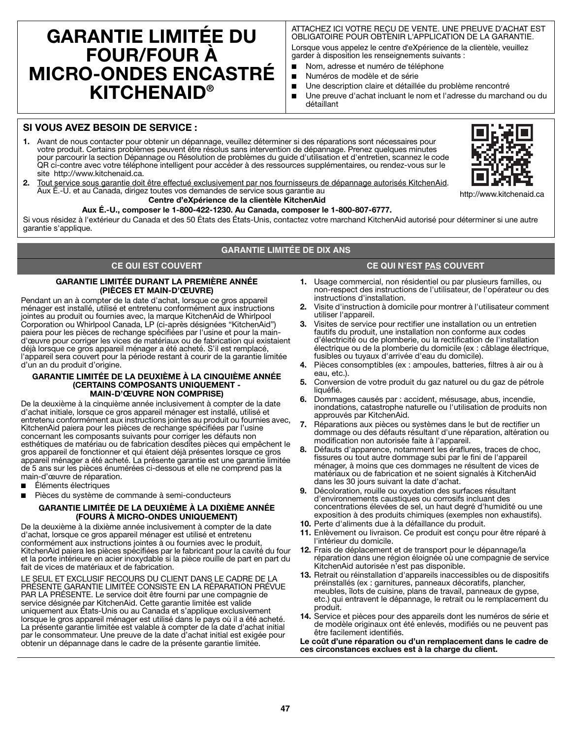# **GARANTIE LIMITÉE DU FOUR/FOUR À MICRO-ONDES ENCASTRÉ KITCHENAID®**

ATTACHEZ ICI VOTRE REÇU DE VENTE. UNE PREUVE D'ACHAT EST OBLIGATOIRE POUR OBTENIR L'APPLICATION DE LA GARANTIE. Lorsque vous appelez le centre d'eXpérience de la clientèle, veuillez garder à disposition les renseignements suivants :

- Nom, adresse et numéro de téléphone
- Numéros de modèle et de série
- Une description claire et détaillée du problème rencontré
- Une preuve d'achat incluant le nom et l'adresse du marchand ou du détaillant

# **SI VOUS AVEZ BESOIN DE SERVICE :**

**1.** Avant de nous contacter pour obtenir un dépannage, veuillez déterminer si des réparations sont nécessaires pour votre produit. Certains problèmes peuvent être résolus sans intervention de dépannage. Prenez quelques minutes pour parcourir la section Dépannage ou Résolution de problèmes du guide d'utilisation et d'entretien, scannez le code QR ci-contre avec votre téléphone intelligent pour accéder à des ressources supplémentaires, ou rendez-vous sur le site http://www.kitchenaid.ca.



**2.** Tout service sous garantie doit être effectué exclusivement par nos fournisseurs de dépannage autorisés KitchenAid. Aux É.-U. et au Canada, dirigez toutes vos demandes de service sous garantie au

# **Centre d'eXpérience de la clientèle KitchenAid**

**Aux É.-U., composer le 1-800-422-1230. Au Canada, composer le 1-800-807-6777.**

Si vous résidez à l'extérieur du Canada et des 50 États des États-Unis, contactez votre marchand KitchenAid autorisé pour déterminer si une autre garantie s'applique.

### **GARANTIE LIMITÉE DE DIX ANS**

# **CE QUI EST COUVERT CE QUI N'EST PAS COUVERT**

## **GARANTIE LIMITÉE DURANT LA PREMIÈRE ANNÉE (PIÈCES ET MAIN-D'ŒUVRE)**

Pendant un an à compter de la date d'achat, lorsque ce gros appareil ménager est installé, utilisé et entretenu conformément aux instructions jointes au produit ou fournies avec, la marque KitchenAid de Whirlpool Corporation ou Whirlpool Canada, LP (ci-après désignées "KitchenAid") paiera pour les pièces de rechange spécifiées par l'usine et pour la maind'œuvre pour corriger les vices de matériaux ou de fabrication qui existaient déjà lorsque ce gros appareil ménager a été acheté. S'il est remplacé, l'appareil sera couvert pour la période restant à courir de la garantie limitée d'un an du produit d'origine.

#### **GARANTIE LIMITÉE DE LA DEUXIÈME À LA CINQUIÈME ANNÉE (CERTAINS COMPOSANTS UNIQUEMENT - MAIN-D'ŒUVRE NON COMPRISE)**

De la deuxième à la cinquième année inclusivement à compter de la date d'achat initiale, lorsque ce gros appareil ménager est installé, utilisé et entretenu conformément aux instructions jointes au produit ou fournies avec, KitchenAid paiera pour les pièces de rechange spécifiées par l'usine concernant les composants suivants pour corriger les défauts non esthétiques de matériau ou de fabrication desdites pièces qui empêchent le gros appareil de fonctionner et qui étaient déjà présentes lorsque ce gros appareil ménager a été acheté. La présente garantie est une garantie limitée de 5 ans sur les pièces énumérées ci-dessous et elle ne comprend pas la main-d'œuvre de réparation.

- Éléments électriques
- Pièces du système de commande à semi-conducteurs

### **GARANTIE LIMITÉE DE LA DEUXIÈME À LA DIXIÈME ANNÉE (FOURS À MICRO-ONDES UNIQUEMENT)**

De la deuxième à la dixième année inclusivement à compter de la date d'achat, lorsque ce gros appareil ménager est utilisé et entretenu conformément aux instructions jointes à ou fournies avec le produit, KitchenAid paiera les pièces spécifiées par le fabricant pour la cavité du four et la porte intérieure en acier inoxydable si la pièce rouille de part en part du fait de vices de matériaux et de fabrication.

LE SEUL ET EXCLUSIF RECOURS DU CLIENT DANS LE CADRE DE LA PRÉSENTE GARANTIE LIMITÉE CONSISTE EN LA RÉPARATION PRÉVUE PAR LA PRÉSENTE. Le service doit être fourni par une compagnie de service désignée par KitchenAid. Cette garantie limitée est valide uniquement aux États-Unis ou au Canada et s'applique exclusivement lorsque le gros appareil ménager est utilisé dans le pays où il a été acheté. La présente garantie limitée est valable à compter de la date d'achat initial par le consommateur. Une preuve de la date d'achat initial est exigée pour obtenir un dépannage dans le cadre de la présente garantie limitée.

- **1.** Usage commercial, non résidentiel ou par plusieurs familles, ou non-respect des instructions de l'utilisateur, de l'opérateur ou des instructions d'installation.
- **2.** Visite d'instruction à domicile pour montrer à l'utilisateur comment utiliser l'appareil.
- **3.** Visites de service pour rectifier une installation ou un entretien fautifs du produit, une installation non conforme aux codes d'électricité ou de plomberie, ou la rectification de l'installation électrique ou de la plomberie du domicile (ex : câblage électrique, fusibles ou tuyaux d'arrivée d'eau du domicile).
- **4.** Pièces consomptibles (ex : ampoules, batteries, filtres à air ou à eau, etc.).
- **5.** Conversion de votre produit du gaz naturel ou du gaz de pétrole liquéfié.
- **6.** Dommages causés par : accident, mésusage, abus, incendie, inondations, catastrophe naturelle ou l'utilisation de produits non approuvés par KitchenAid.
- **7.** Réparations aux pièces ou systèmes dans le but de rectifier un dommage ou des défauts résultant d'une réparation, altération ou modification non autorisée faite à l'appareil.
- **8.** Défauts d'apparence, notamment les éraflures, traces de choc, fissures ou tout autre dommage subi par le fini de l'appareil ménager, à moins que ces dommages ne résultent de vices de matériaux ou de fabrication et ne soient signalés à KitchenAid dans les 30 jours suivant la date d'achat.
- **9.** Décoloration, rouille ou oxydation des surfaces résultant d'environnements caustiques ou corrosifs incluant des concentrations élevées de sel, un haut degré d'humidité ou une exposition à des produits chimiques (exemples non exhaustifs).
- **10.** Perte d'aliments due à la défaillance du produit.
- **11.** Enlèvement ou livraison. Ce produit est conçu pour être réparé à l'intérieur du domicile.
- **12.** Frais de déplacement et de transport pour le dépannage/la réparation dans une région éloignée où une compagnie de service KitchenAid autorisée n'est pas disponible.
- **13.** Retrait ou réinstallation d'appareils inaccessibles ou de dispositifs préinstallés (ex : garnitures, panneaux décoratifs, plancher, meubles, îlots de cuisine, plans de travail, panneaux de gypse, etc.) qui entravent le dépannage, le retrait ou le remplacement du produit.
- **14.** Service et pièces pour des appareils dont les numéros de série et de modèle originaux ont été enlevés, modifiés ou ne peuvent pas être facilement identifiés.

**Le coût d'une réparation ou d'un remplacement dans le cadre de ces circonstances exclues est à la charge du client.**